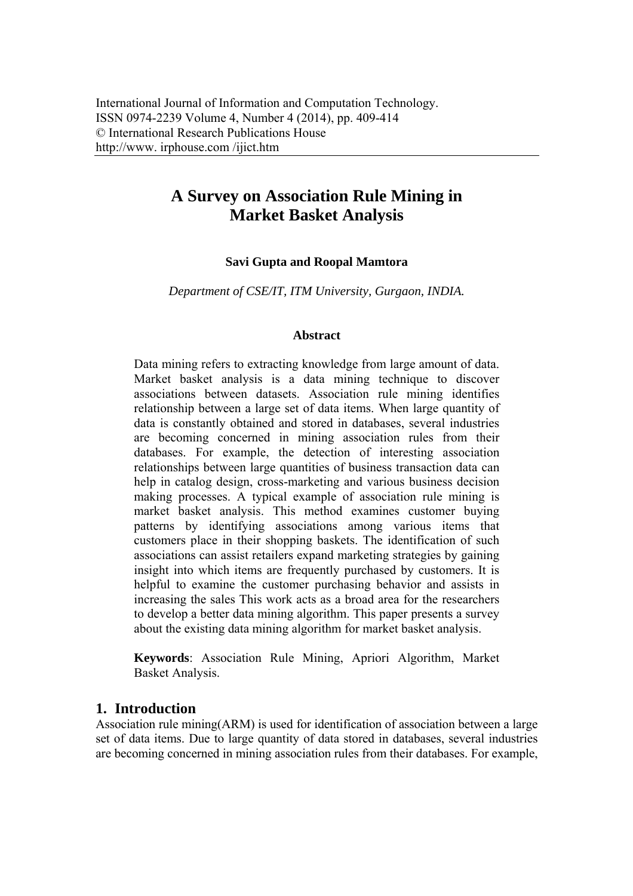# **A Survey on Association Rule Mining in Market Basket Analysis**

#### **Savi Gupta and Roopal Mamtora**

*Department of CSE/IT, ITM University, Gurgaon, INDIA.* 

#### **Abstract**

Data mining refers to extracting knowledge from large amount of data. Market basket analysis is a data mining technique to discover associations between datasets. Association rule mining identifies relationship between a large set of data items. When large quantity of data is constantly obtained and stored in databases, several industries are becoming concerned in mining association rules from their databases. For example, the detection of interesting association relationships between large quantities of business transaction data can help in catalog design, cross-marketing and various business decision making processes. A typical example of association rule mining is market basket analysis. This method examines customer buying patterns by identifying associations among various items that customers place in their shopping baskets. The identification of such associations can assist retailers expand marketing strategies by gaining insight into which items are frequently purchased by customers. It is helpful to examine the customer purchasing behavior and assists in increasing the sales This work acts as a broad area for the researchers to develop a better data mining algorithm. This paper presents a survey about the existing data mining algorithm for market basket analysis.

**Keywords**: Association Rule Mining, Apriori Algorithm, Market Basket Analysis.

#### **1. Introduction**

Association rule mining(ARM) is used for identification of association between a large set of data items. Due to large quantity of data stored in databases, several industries are becoming concerned in mining association rules from their databases. For example,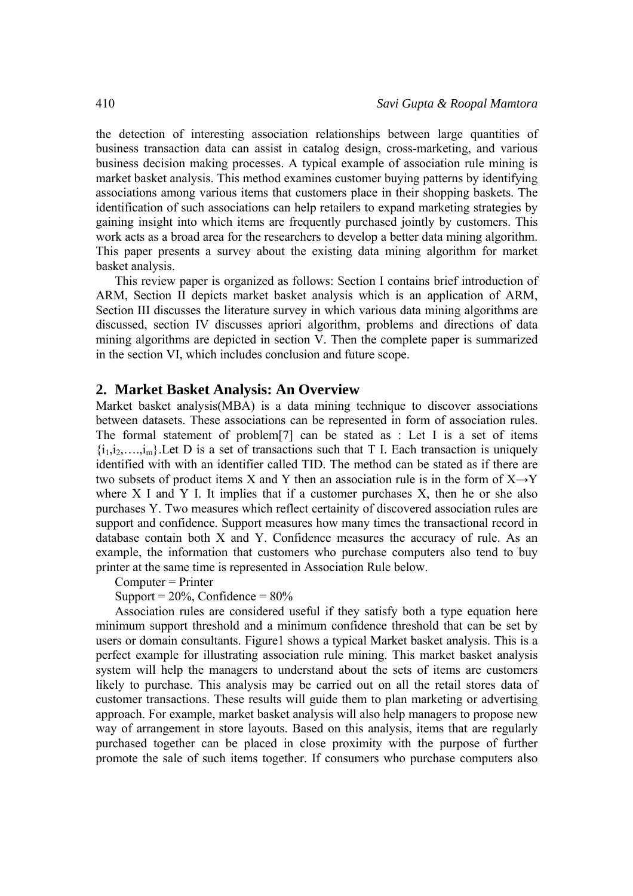the detection of interesting association relationships between large quantities of business transaction data can assist in catalog design, cross-marketing, and various business decision making processes. A typical example of association rule mining is market basket analysis. This method examines customer buying patterns by identifying associations among various items that customers place in their shopping baskets. The identification of such associations can help retailers to expand marketing strategies by gaining insight into which items are frequently purchased jointly by customers. This work acts as a broad area for the researchers to develop a better data mining algorithm. This paper presents a survey about the existing data mining algorithm for market basket analysis.

This review paper is organized as follows: Section I contains brief introduction of ARM, Section II depicts market basket analysis which is an application of ARM, Section III discusses the literature survey in which various data mining algorithms are discussed, section IV discusses apriori algorithm, problems and directions of data mining algorithms are depicted in section V. Then the complete paper is summarized in the section VI, which includes conclusion and future scope.

#### **2. Market Basket Analysis: An Overview**

Market basket analysis(MBA) is a data mining technique to discover associations between datasets. These associations can be represented in form of association rules. The formal statement of problem[7] can be stated as : Let I is a set of items  $\{i_1, i_2, \ldots, i_m\}$ . Let D is a set of transactions such that T I. Each transaction is uniquely identified with with an identifier called TID. The method can be stated as if there are two subsets of product items X and Y then an association rule is in the form of  $X \rightarrow Y$ where  $X$  I and  $Y$  I. It implies that if a customer purchases  $X$ , then he or she also purchases Y. Two measures which reflect certainity of discovered association rules are support and confidence. Support measures how many times the transactional record in database contain both X and Y. Confidence measures the accuracy of rule. As an example, the information that customers who purchase computers also tend to buy printer at the same time is represented in Association Rule below.

Computer = Printer

Support =  $20\%$ , Confidence =  $80\%$ 

Association rules are considered useful if they satisfy both a type equation here minimum support threshold and a minimum confidence threshold that can be set by users or domain consultants. Figure1 shows a typical Market basket analysis. This is a perfect example for illustrating association rule mining. This market basket analysis system will help the managers to understand about the sets of items are customers likely to purchase. This analysis may be carried out on all the retail stores data of customer transactions. These results will guide them to plan marketing or advertising approach. For example, market basket analysis will also help managers to propose new way of arrangement in store layouts. Based on this analysis, items that are regularly purchased together can be placed in close proximity with the purpose of further promote the sale of such items together. If consumers who purchase computers also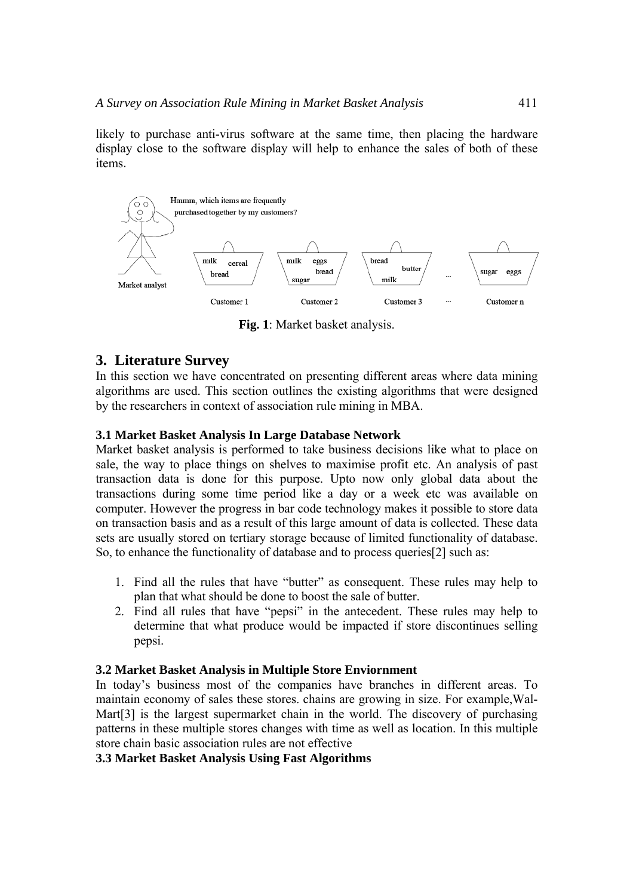likely to purchase anti-virus software at the same time, then placing the hardware display close to the software display will help to enhance the sales of both of these items.



**Fig. 1**: Market basket analysis.

## **3. Literature Survey**

In this section we have concentrated on presenting different areas where data mining algorithms are used. This section outlines the existing algorithms that were designed by the researchers in context of association rule mining in MBA.

### **3.1 Market Basket Analysis In Large Database Network**

Market basket analysis is performed to take business decisions like what to place on sale, the way to place things on shelves to maximise profit etc. An analysis of past transaction data is done for this purpose. Upto now only global data about the transactions during some time period like a day or a week etc was available on computer. However the progress in bar code technology makes it possible to store data on transaction basis and as a result of this large amount of data is collected. These data sets are usually stored on tertiary storage because of limited functionality of database. So, to enhance the functionality of database and to process queries[2] such as:

- 1. Find all the rules that have "butter" as consequent. These rules may help to plan that what should be done to boost the sale of butter.
- 2. Find all rules that have "pepsi" in the antecedent. These rules may help to determine that what produce would be impacted if store discontinues selling pepsi.

#### **3.2 Market Basket Analysis in Multiple Store Enviornment**

In today's business most of the companies have branches in different areas. To maintain economy of sales these stores. chains are growing in size. For example,Wal-Mart[3] is the largest supermarket chain in the world. The discovery of purchasing patterns in these multiple stores changes with time as well as location. In this multiple store chain basic association rules are not effective

**3.3 Market Basket Analysis Using Fast Algorithms**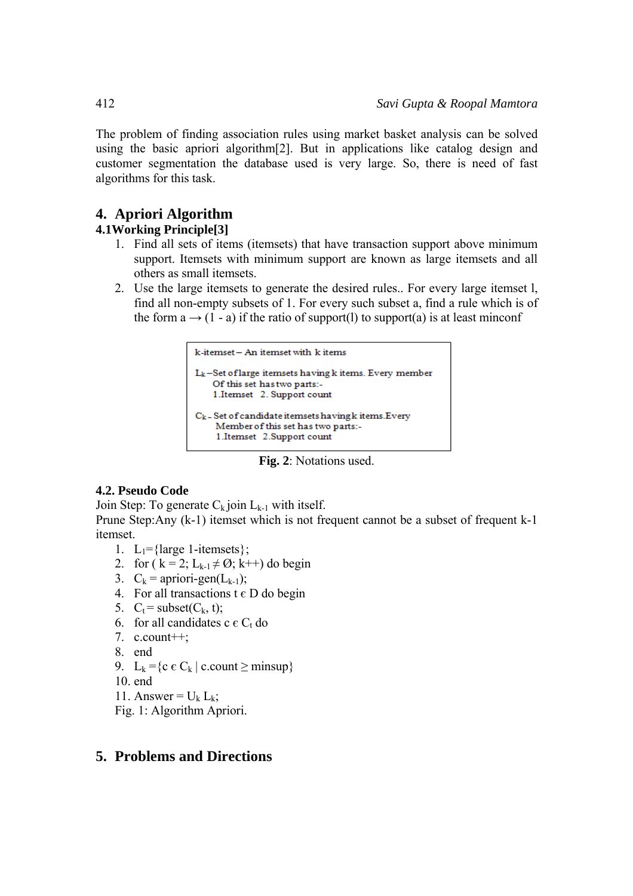The problem of finding association rules using market basket analysis can be solved using the basic apriori algorithm[2]. But in applications like catalog design and customer segmentation the database used is very large. So, there is need of fast algorithms for this task.

# **4. Apriori Algorithm**

## **4.1Working Principle[3]**

- 1. Find all sets of items (itemsets) that have transaction support above minimum support. Itemsets with minimum support are known as large itemsets and all others as small itemsets.
- 2. Use the large itemsets to generate the desired rules.. For every large itemset l, find all non-empty subsets of 1. For every such subset a, find a rule which is of the form  $a \rightarrow (1 - a)$  if the ratio of support(1) to support(a) is at least minconf

```
k-itemset -- An itemset with k items
L<sub>k</sub>-Set of large itemsets having k items. Every member
    Of this set has two parts:-
    1.Itemset 2. Support count
C_k – Set of candidate itemsets having k items. Every
     Member of this set has two parts:-
     1.Itemset 2.Support count
```
**Fig. 2**: Notations used.

### **4.2. Pseudo Code**

Join Step: To generate  $C_k$  join  $L_{k-1}$  with itself.

Prune Step:Any (k-1) itemset which is not frequent cannot be a subset of frequent k-1 itemset.

- 1. L<sub>1</sub>={large 1-itemsets};
- 2. for ( $k = 2$ ;  $L_{k-1} \neq \emptyset$ ;  $k++)$  do begin
- 3.  $C_k = \text{arriori-gen}(L_{k-1});$
- 4. For all transactions  $t \in D$  do begin
- 5.  $C_t$  = subset( $C_k$ , t);
- 6. for all candidates c  $\epsilon C_t$  do
- 7.  $c.count++;$
- 8. end
- 9. L<sub>k</sub> = {c  $\epsilon$  C<sub>k</sub> | c.count  $\geq$  minsup}
- 10. end
- 11. Answer =  $U_k L_k$ ;
- Fig. 1: Algorithm Apriori.

## **5. Problems and Directions**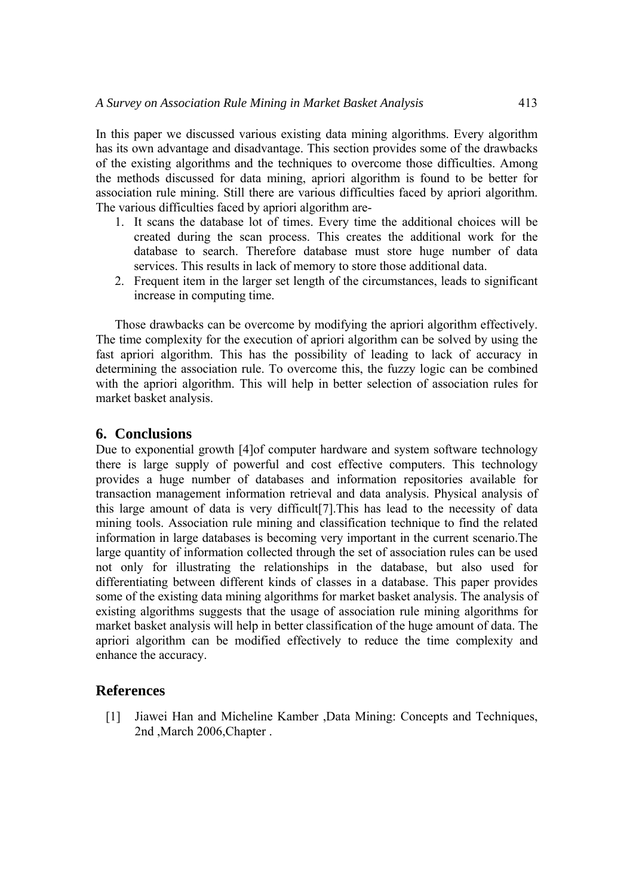In this paper we discussed various existing data mining algorithms. Every algorithm has its own advantage and disadvantage. This section provides some of the drawbacks of the existing algorithms and the techniques to overcome those difficulties. Among the methods discussed for data mining, apriori algorithm is found to be better for association rule mining. Still there are various difficulties faced by apriori algorithm. The various difficulties faced by apriori algorithm are-

- 1. It scans the database lot of times. Every time the additional choices will be created during the scan process. This creates the additional work for the database to search. Therefore database must store huge number of data services. This results in lack of memory to store those additional data.
- 2. Frequent item in the larger set length of the circumstances, leads to significant increase in computing time.

Those drawbacks can be overcome by modifying the apriori algorithm effectively. The time complexity for the execution of apriori algorithm can be solved by using the fast apriori algorithm. This has the possibility of leading to lack of accuracy in determining the association rule. To overcome this, the fuzzy logic can be combined with the apriori algorithm. This will help in better selection of association rules for market basket analysis.

#### **6. Conclusions**

Due to exponential growth [4]of computer hardware and system software technology there is large supply of powerful and cost effective computers. This technology provides a huge number of databases and information repositories available for transaction management information retrieval and data analysis. Physical analysis of this large amount of data is very difficult[7].This has lead to the necessity of data mining tools. Association rule mining and classification technique to find the related information in large databases is becoming very important in the current scenario.The large quantity of information collected through the set of association rules can be used not only for illustrating the relationships in the database, but also used for differentiating between different kinds of classes in a database. This paper provides some of the existing data mining algorithms for market basket analysis. The analysis of existing algorithms suggests that the usage of association rule mining algorithms for market basket analysis will help in better classification of the huge amount of data. The apriori algorithm can be modified effectively to reduce the time complexity and enhance the accuracy.

#### **References**

[1] Jiawei Han and Micheline Kamber ,Data Mining: Concepts and Techniques, 2nd ,March 2006,Chapter .